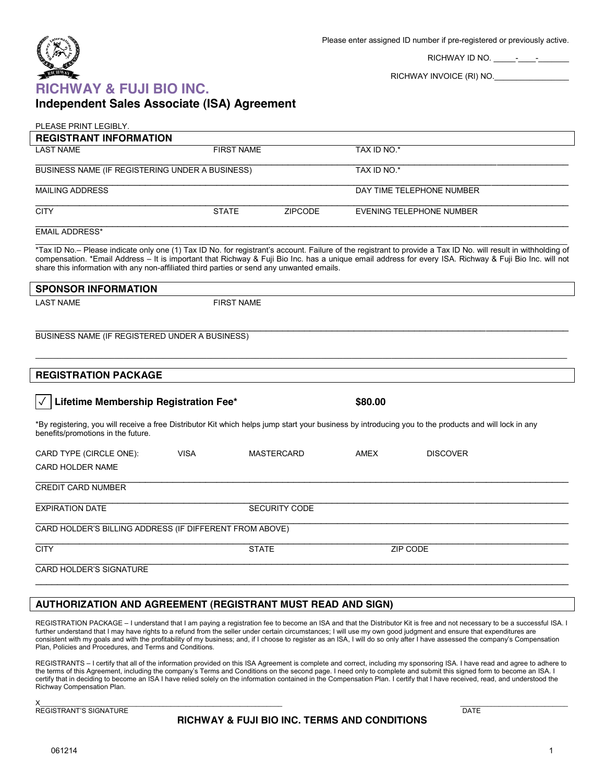

 $\overline{\phantom{a}}$ 

RICHWAY ID NO. \_\_\_\_\_-\_\_\_\_-\_\_\_\_\_\_\_

RICHWAY INVOICE (RI) NO.\_\_\_\_\_\_\_\_\_\_\_\_\_\_\_\_\_\_

## **RICHWAY & FUJI BIO INC. Independent Sales Associate (ISA) Agreement**

| PLEASE PRINT LEGIBLY.                                                                     |                   |                   |                |                 |                                                                                                                                                                                                                                                                                                                          |  |
|-------------------------------------------------------------------------------------------|-------------------|-------------------|----------------|-----------------|--------------------------------------------------------------------------------------------------------------------------------------------------------------------------------------------------------------------------------------------------------------------------------------------------------------------------|--|
| <b>REGISTRANT INFORMATION</b>                                                             |                   |                   |                |                 |                                                                                                                                                                                                                                                                                                                          |  |
| <b>LAST NAME</b>                                                                          | <b>FIRST NAME</b> |                   |                | TAX ID NO.*     |                                                                                                                                                                                                                                                                                                                          |  |
| BUSINESS NAME (IF REGISTERING UNDER A BUSINESS)                                           |                   |                   |                | TAX ID NO.*     |                                                                                                                                                                                                                                                                                                                          |  |
| <b>MAILING ADDRESS</b>                                                                    |                   |                   |                |                 | DAY TIME TELEPHONE NUMBER                                                                                                                                                                                                                                                                                                |  |
| <b>CITY</b>                                                                               | <b>STATE</b>      |                   | <b>ZIPCODE</b> |                 | <b>EVENING TELEPHONE NUMBER</b>                                                                                                                                                                                                                                                                                          |  |
| <b>EMAIL ADDRESS*</b>                                                                     |                   |                   |                |                 |                                                                                                                                                                                                                                                                                                                          |  |
| share this information with any non-affiliated third parties or send any unwanted emails. |                   |                   |                |                 | *Tax ID No.– Please indicate only one (1) Tax ID No. for registrant's account. Failure of the registrant to provide a Tax ID No. will result in withholding of<br>compensation. *Email Address - It is important that Richway & Fuji Bio Inc. has a unique email address for every ISA. Richway & Fuji Bio Inc. will not |  |
| <b>SPONSOR INFORMATION</b>                                                                |                   |                   |                |                 |                                                                                                                                                                                                                                                                                                                          |  |
| <b>LAST NAME</b>                                                                          | <b>FIRST NAME</b> |                   |                |                 |                                                                                                                                                                                                                                                                                                                          |  |
| BUSINESS NAME (IF REGISTERED UNDER A BUSINESS)                                            |                   |                   |                |                 |                                                                                                                                                                                                                                                                                                                          |  |
| <b>REGISTRATION PACKAGE</b>                                                               |                   |                   |                |                 |                                                                                                                                                                                                                                                                                                                          |  |
| Lifetime Membership Registration Fee*<br>$\checkmark$                                     |                   |                   |                | \$80.00         |                                                                                                                                                                                                                                                                                                                          |  |
| benefits/promotions in the future.                                                        |                   |                   |                |                 | *By registering, you will receive a free Distributor Kit which helps jump start your business by introducing you to the products and will lock in any                                                                                                                                                                    |  |
| CARD TYPE (CIRCLE ONE):                                                                   | <b>VISA</b>       | <b>MASTERCARD</b> |                | AMEX            | <b>DISCOVER</b>                                                                                                                                                                                                                                                                                                          |  |
| <b>CARD HOLDER NAME</b>                                                                   |                   |                   |                |                 |                                                                                                                                                                                                                                                                                                                          |  |
| <b>CREDIT CARD NUMBER</b>                                                                 |                   |                   |                |                 |                                                                                                                                                                                                                                                                                                                          |  |
| <b>EXPIRATION DATE</b>                                                                    | SECURITY CODE     |                   |                |                 |                                                                                                                                                                                                                                                                                                                          |  |
| CARD HOLDER'S BILLING ADDRESS (IF DIFFERENT FROM ABOVE)                                   |                   |                   |                |                 |                                                                                                                                                                                                                                                                                                                          |  |
| <b>CITY</b>                                                                               | <b>STATE</b>      |                   |                | <b>ZIP CODE</b> |                                                                                                                                                                                                                                                                                                                          |  |
| <b>CARD HOLDER'S SIGNATURE</b>                                                            |                   |                   |                |                 |                                                                                                                                                                                                                                                                                                                          |  |
|                                                                                           |                   |                   |                |                 |                                                                                                                                                                                                                                                                                                                          |  |

## **AUTHORIZATION AND AGREEMENT (REGISTRANT MUST READ AND SIGN)**

REGISTRATION PACKAGE - I understand that I am paying a registration fee to become an ISA and that the Distributor Kit is free and not necessary to be a successful ISA. I further understand that I may have rights to a refund from the seller under certain circumstances; I will use my own good judgment and ensure that expenditures are consistent with my goals and with the profitability of my business; and, if I choose to register as an ISA, I will do so only after I have assessed the company's Compensation Plan, Policies and Procedures, and Terms and Conditions.

REGISTRANTS - I certify that all of the information provided on this ISA Agreement is complete and correct, including my sponsoring ISA. I have read and agree to adhere to the terms of this Agreement, including the company's Terms and Conditions on the second page. I need only to complete and submit this signed form to become an ISA. I certify that in deciding to become an ISA I have relied solely on the information contained in the Compensation Plan. I certify that I have received, read, and understood the Richway Compensation Plan.

 $X_\perp$  , and the contract of the contract of the contract of the contract of the contract of the contract of the contract of the contract of the contract of the contract of the contract of the contract of the contract of REGISTRANT'S SIGNATURE THE CONSTRUCTION OF THE CONSTRANT'S SIGNATURE

## **RICHWAY & FUJI BIO INC. TERMS AND CONDITIONS**